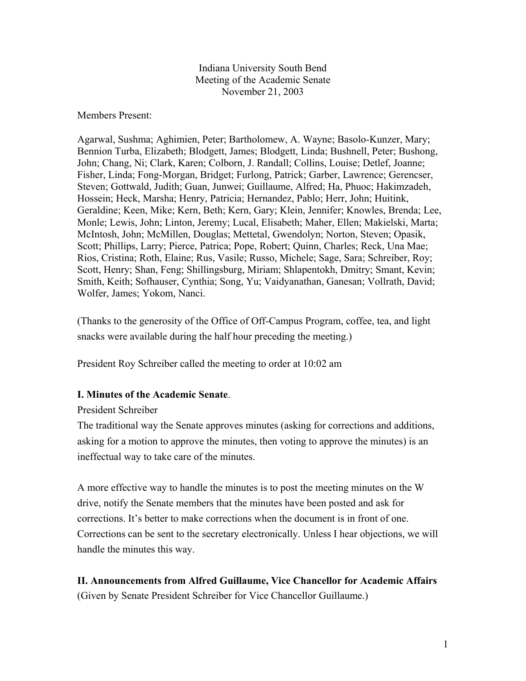Indiana University South Bend Meeting of the Academic Senate November 21, 2003

Members Present:

Agarwal, Sushma; Aghimien, Peter; Bartholomew, A. Wayne; Basolo-Kunzer, Mary; Bennion Turba, Elizabeth; Blodgett, James; Blodgett, Linda; Bushnell, Peter; Bushong, John; Chang, Ni; Clark, Karen; Colborn, J. Randall; Collins, Louise; Detlef, Joanne; Fisher, Linda; Fong-Morgan, Bridget; Furlong, Patrick; Garber, Lawrence; Gerencser, Steven; Gottwald, Judith; Guan, Junwei; Guillaume, Alfred; Ha, Phuoc; Hakimzadeh, Hossein; Heck, Marsha; Henry, Patricia; Hernandez, Pablo; Herr, John; Huitink, Geraldine; Keen, Mike; Kern, Beth; Kern, Gary; Klein, Jennifer; Knowles, Brenda; Lee, Monle; Lewis, John; Linton, Jeremy; Lucal, Elisabeth; Maher, Ellen; Makielski, Marta; McIntosh, John; McMillen, Douglas; Mettetal, Gwendolyn; Norton, Steven; Opasik, Scott; Phillips, Larry; Pierce, Patrica; Pope, Robert; Quinn, Charles; Reck, Una Mae; Rios, Cristina; Roth, Elaine; Rus, Vasile; Russo, Michele; Sage, Sara; Schreiber, Roy; Scott, Henry; Shan, Feng; Shillingsburg, Miriam; Shlapentokh, Dmitry; Smant, Kevin; Smith, Keith; Sofhauser, Cynthia; Song, Yu; Vaidyanathan, Ganesan; Vollrath, David; Wolfer, James; Yokom, Nanci.

(Thanks to the generosity of the Office of Off-Campus Program, coffee, tea, and light snacks were available during the half hour preceding the meeting.)

President Roy Schreiber called the meeting to order at 10:02 am

#### **I. Minutes of the Academic Senate**.

President Schreiber

The traditional way the Senate approves minutes (asking for corrections and additions, asking for a motion to approve the minutes, then voting to approve the minutes) is an ineffectual way to take care of the minutes.

A more effective way to handle the minutes is to post the meeting minutes on the W drive, notify the Senate members that the minutes have been posted and ask for corrections. It's better to make corrections when the document is in front of one. Corrections can be sent to the secretary electronically. Unless I hear objections, we will handle the minutes this way.

**II. Announcements from Alfred Guillaume, Vice Chancellor for Academic Affairs** (Given by Senate President Schreiber for Vice Chancellor Guillaume.)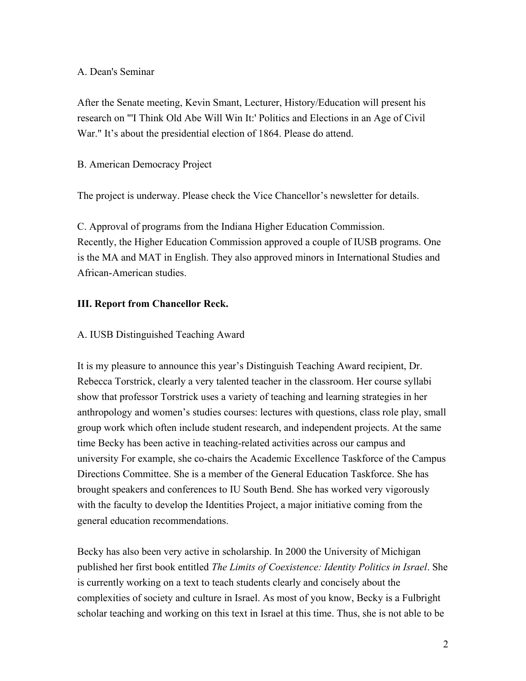#### A. Dean's Seminar

After the Senate meeting, Kevin Smant, Lecturer, History/Education will present his research on "'I Think Old Abe Will Win It:' Politics and Elections in an Age of Civil War." It's about the presidential election of 1864. Please do attend.

#### B. American Democracy Project

The project is underway. Please check the Vice Chancellor's newsletter for details.

C. Approval of programs from the Indiana Higher Education Commission. Recently, the Higher Education Commission approved a couple of IUSB programs. One is the MA and MAT in English. They also approved minors in International Studies and African-American studies.

### **III. Report from Chancellor Reck.**

### A. IUSB Distinguished Teaching Award

It is my pleasure to announce this year's Distinguish Teaching Award recipient, Dr. Rebecca Torstrick, clearly a very talented teacher in the classroom. Her course syllabi show that professor Torstrick uses a variety of teaching and learning strategies in her anthropology and women's studies courses: lectures with questions, class role play, small group work which often include student research, and independent projects. At the same time Becky has been active in teaching-related activities across our campus and university For example, she co-chairs the Academic Excellence Taskforce of the Campus Directions Committee. She is a member of the General Education Taskforce. She has brought speakers and conferences to IU South Bend. She has worked very vigorously with the faculty to develop the Identities Project, a major initiative coming from the general education recommendations.

Becky has also been very active in scholarship. In 2000 the University of Michigan published her first book entitled *The Limits of Coexistence: Identity Politics in Israel*. She is currently working on a text to teach students clearly and concisely about the complexities of society and culture in Israel. As most of you know, Becky is a Fulbright scholar teaching and working on this text in Israel at this time. Thus, she is not able to be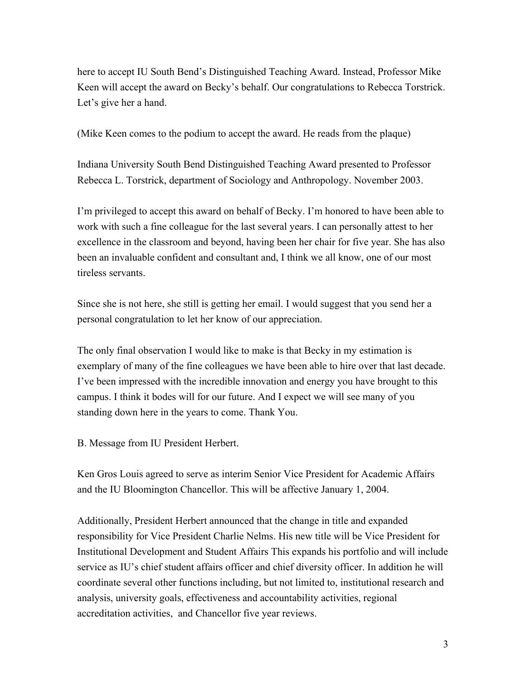here to accept IU South Bend's Distinguished Teaching Award. Instead, Professor Mike Keen will accept the award on Becky's behalf. Our congratulations to Rebecca Torstrick. Let's give her a hand.

(Mike Keen comes to the podium to accept the award. He reads from the plaque)

Indiana University South Bend Distinguished Teaching Award presented to Professor Rebecca L. Torstrick, department of Sociology and Anthropology. November 2003.

I'm privileged to accept this award on behalf of Becky. I'm honored to have been able to work with such a fine colleague for the last several years. I can personally attest to her excellence in the classroom and beyond, having been her chair for five year. She has also been an invaluable confident and consultant and, I think we all know, one of our most tireless servants.

Since she is not here, she still is getting her email. I would suggest that you send her a personal congratulation to let her know of our appreciation.

The only final observation I would like to make is that Becky in my estimation is exemplary of many of the fine colleagues we have been able to hire over that last decade. I've been impressed with the incredible innovation and energy you have brought to this campus. I think it bodes will for our future. And I expect we will see many of you standing down here in the years to come. Thank You.

B. Message from IU President Herbert.

Ken Gros Louis agreed to serve as interim Senior Vice President for Academic Affairs and the IU Bloomington Chancellor. This will be affective January 1, 2004.

Additionally, President Herbert announced that the change in title and expanded responsibility for Vice President Charlie Nelms. His new title will be Vice President for Institutional Development and Student Affairs This expands his portfolio and will include service as IU's chief student affairs officer and chief diversity officer. In addition he will coordinate several other functions including, but not limited to, institutional research and analysis, university goals, effectiveness and accountability activities, regional accreditation activities, and Chancellor five year reviews.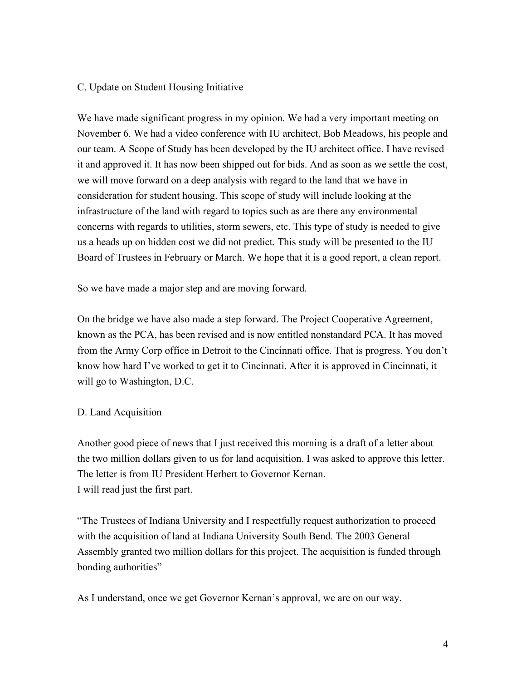#### C. Update on Student Housing Initiative

We have made significant progress in my opinion. We had a very important meeting on November 6. We had a video conference with IU architect, Bob Meadows, his people and our team. A Scope of Study has been developed by the IU architect office. I have revised it and approved it. It has now been shipped out for bids. And as soon as we settle the cost, we will move forward on a deep analysis with regard to the land that we have in consideration for student housing. This scope of study will include looking at the infrastructure of the land with regard to topics such as are there any environmental concerns with regards to utilities, storm sewers, etc. This type of study is needed to give us a heads up on hidden cost we did not predict. This study will be presented to the IU Board of Trustees in February or March. We hope that it is a good report, a clean report.

So we have made a major step and are moving forward.

On the bridge we have also made a step forward. The Project Cooperative Agreement, known as the PCA, has been revised and is now entitled nonstandard PCA. It has moved from the Army Corp office in Detroit to the Cincinnati office. That is progress. You don't know how hard I've worked to get it to Cincinnati. After it is approved in Cincinnati, it will go to Washington, D.C.

#### D. Land Acquisition

Another good piece of news that I just received this morning is a draft of a letter about the two million dollars given to us for land acquisition. I was asked to approve this letter. The letter is from IU President Herbert to Governor Kernan. I will read just the first part.

"The Trustees of Indiana University and I respectfully request authorization to proceed with the acquisition of land at Indiana University South Bend. The 2003 General Assembly granted two million dollars for this project. The acquisition is funded through bonding authorities"

As I understand, once we get Governor Kernan's approval, we are on our way.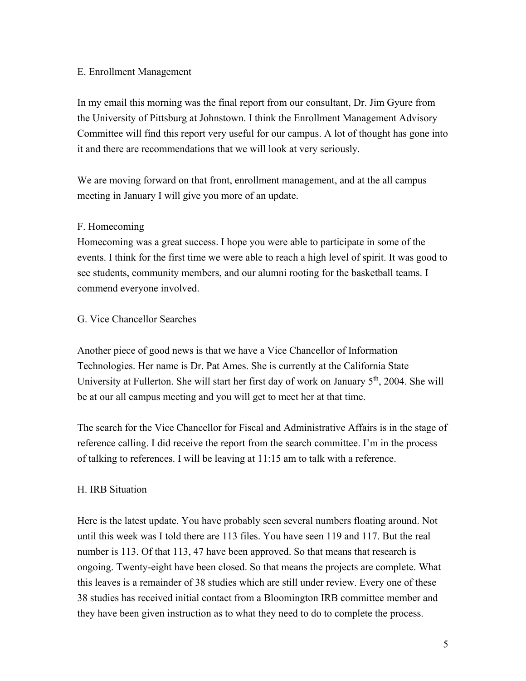#### E. Enrollment Management

In my email this morning was the final report from our consultant, Dr. Jim Gyure from the University of Pittsburg at Johnstown. I think the Enrollment Management Advisory Committee will find this report very useful for our campus. A lot of thought has gone into it and there are recommendations that we will look at very seriously.

We are moving forward on that front, enrollment management, and at the all campus meeting in January I will give you more of an update.

#### F. Homecoming

Homecoming was a great success. I hope you were able to participate in some of the events. I think for the first time we were able to reach a high level of spirit. It was good to see students, community members, and our alumni rooting for the basketball teams. I commend everyone involved.

#### G. Vice Chancellor Searches

Another piece of good news is that we have a Vice Chancellor of Information Technologies. Her name is Dr. Pat Ames. She is currently at the California State University at Fullerton. She will start her first day of work on January  $5<sup>th</sup>$ , 2004. She will be at our all campus meeting and you will get to meet her at that time.

The search for the Vice Chancellor for Fiscal and Administrative Affairs is in the stage of reference calling. I did receive the report from the search committee. I'm in the process of talking to references. I will be leaving at 11:15 am to talk with a reference.

#### H. IRB Situation

Here is the latest update. You have probably seen several numbers floating around. Not until this week was I told there are 113 files. You have seen 119 and 117. But the real number is 113. Of that 113, 47 have been approved. So that means that research is ongoing. Twenty-eight have been closed. So that means the projects are complete. What this leaves is a remainder of 38 studies which are still under review. Every one of these 38 studies has received initial contact from a Bloomington IRB committee member and they have been given instruction as to what they need to do to complete the process.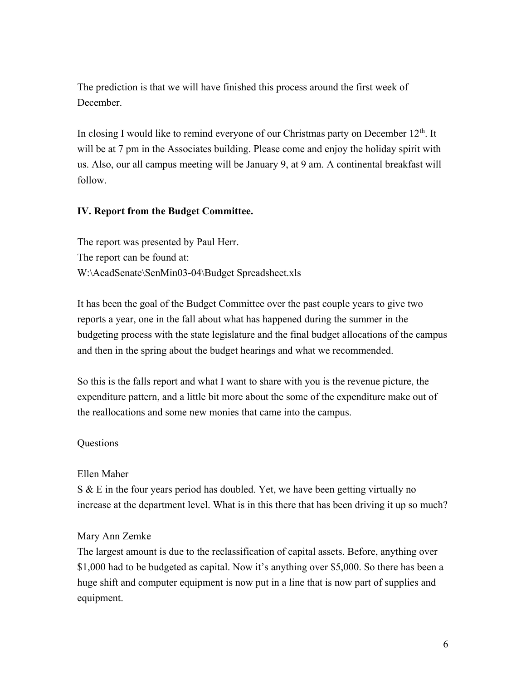The prediction is that we will have finished this process around the first week of **December** 

In closing I would like to remind everyone of our Christmas party on December  $12<sup>th</sup>$ . It will be at 7 pm in the Associates building. Please come and enjoy the holiday spirit with us. Also, our all campus meeting will be January 9, at 9 am. A continental breakfast will follow.

#### **IV. Report from the Budget Committee.**

The report was presented by Paul Herr. The report can be found at: W:\AcadSenate\SenMin03-04\Budget Spreadsheet.xls

It has been the goal of the Budget Committee over the past couple years to give two reports a year, one in the fall about what has happened during the summer in the budgeting process with the state legislature and the final budget allocations of the campus and then in the spring about the budget hearings and what we recommended.

So this is the falls report and what I want to share with you is the revenue picture, the expenditure pattern, and a little bit more about the some of the expenditure make out of the reallocations and some new monies that came into the campus.

#### **Ouestions**

#### Ellen Maher

S & E in the four years period has doubled. Yet, we have been getting virtually no increase at the department level. What is in this there that has been driving it up so much?

#### Mary Ann Zemke

The largest amount is due to the reclassification of capital assets. Before, anything over \$1,000 had to be budgeted as capital. Now it's anything over \$5,000. So there has been a huge shift and computer equipment is now put in a line that is now part of supplies and equipment.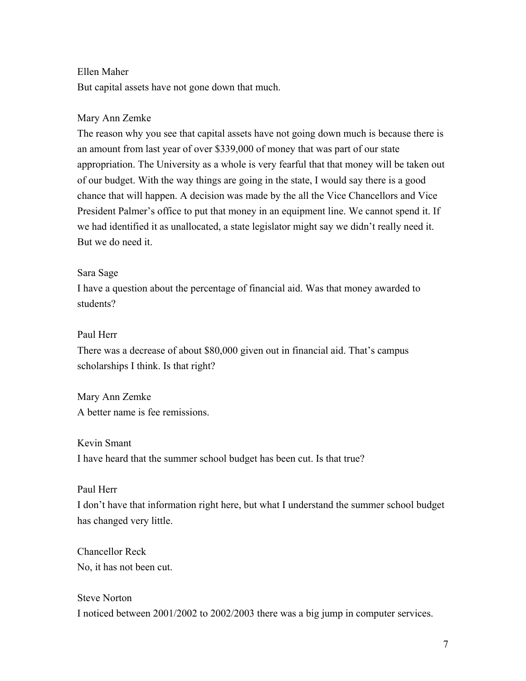#### Ellen Maher

But capital assets have not gone down that much.

#### Mary Ann Zemke

The reason why you see that capital assets have not going down much is because there is an amount from last year of over \$339,000 of money that was part of our state appropriation. The University as a whole is very fearful that that money will be taken out of our budget. With the way things are going in the state, I would say there is a good chance that will happen. A decision was made by the all the Vice Chancellors and Vice President Palmer's office to put that money in an equipment line. We cannot spend it. If we had identified it as unallocated, a state legislator might say we didn't really need it. But we do need it.

#### Sara Sage

I have a question about the percentage of financial aid. Was that money awarded to students?

### Paul Herr

There was a decrease of about \$80,000 given out in financial aid. That's campus scholarships I think. Is that right?

Mary Ann Zemke A better name is fee remissions.

Kevin Smant I have heard that the summer school budget has been cut. Is that true?

## Paul Herr

I don't have that information right here, but what I understand the summer school budget has changed very little.

Chancellor Reck No, it has not been cut.

Steve Norton I noticed between 2001/2002 to 2002/2003 there was a big jump in computer services.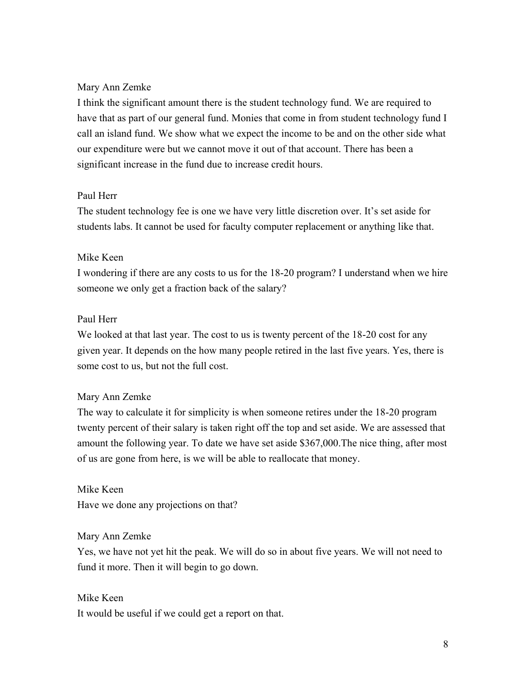#### Mary Ann Zemke

I think the significant amount there is the student technology fund. We are required to have that as part of our general fund. Monies that come in from student technology fund I call an island fund. We show what we expect the income to be and on the other side what our expenditure were but we cannot move it out of that account. There has been a significant increase in the fund due to increase credit hours.

#### Paul Herr

The student technology fee is one we have very little discretion over. It's set aside for students labs. It cannot be used for faculty computer replacement or anything like that.

#### Mike Keen

I wondering if there are any costs to us for the 18-20 program? I understand when we hire someone we only get a fraction back of the salary?

#### Paul Herr

We looked at that last year. The cost to us is twenty percent of the 18-20 cost for any given year. It depends on the how many people retired in the last five years. Yes, there is some cost to us, but not the full cost.

#### Mary Ann Zemke

The way to calculate it for simplicity is when someone retires under the 18-20 program twenty percent of their salary is taken right off the top and set aside. We are assessed that amount the following year. To date we have set aside \$367,000.The nice thing, after most of us are gone from here, is we will be able to reallocate that money.

Mike Keen Have we done any projections on that?

#### Mary Ann Zemke

Yes, we have not yet hit the peak. We will do so in about five years. We will not need to fund it more. Then it will begin to go down.

#### Mike Keen

It would be useful if we could get a report on that.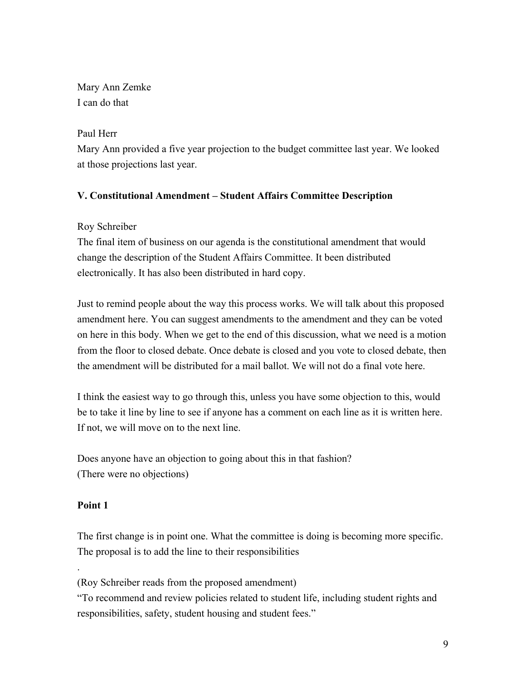Mary Ann Zemke I can do that

#### Paul Herr

Mary Ann provided a five year projection to the budget committee last year. We looked at those projections last year.

## **V. Constitutional Amendment – Student Affairs Committee Description**

## Roy Schreiber

The final item of business on our agenda is the constitutional amendment that would change the description of the Student Affairs Committee. It been distributed electronically. It has also been distributed in hard copy.

Just to remind people about the way this process works. We will talk about this proposed amendment here. You can suggest amendments to the amendment and they can be voted on here in this body. When we get to the end of this discussion, what we need is a motion from the floor to closed debate. Once debate is closed and you vote to closed debate, then the amendment will be distributed for a mail ballot. We will not do a final vote here.

I think the easiest way to go through this, unless you have some objection to this, would be to take it line by line to see if anyone has a comment on each line as it is written here. If not, we will move on to the next line.

Does anyone have an objection to going about this in that fashion? (There were no objections)

## **Point 1**

.

The first change is in point one. What the committee is doing is becoming more specific. The proposal is to add the line to their responsibilities

(Roy Schreiber reads from the proposed amendment)

"To recommend and review policies related to student life, including student rights and responsibilities, safety, student housing and student fees."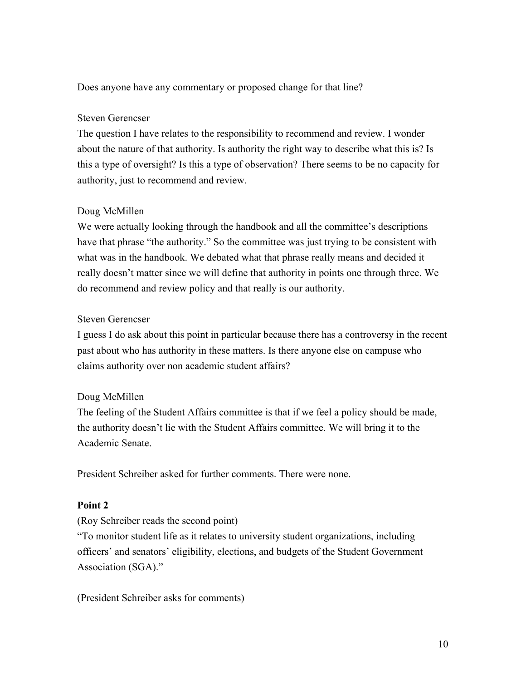Does anyone have any commentary or proposed change for that line?

#### Steven Gerencser

The question I have relates to the responsibility to recommend and review. I wonder about the nature of that authority. Is authority the right way to describe what this is? Is this a type of oversight? Is this a type of observation? There seems to be no capacity for authority, just to recommend and review.

## Doug McMillen

We were actually looking through the handbook and all the committee's descriptions have that phrase "the authority." So the committee was just trying to be consistent with what was in the handbook. We debated what that phrase really means and decided it really doesn't matter since we will define that authority in points one through three. We do recommend and review policy and that really is our authority.

### Steven Gerencser

I guess I do ask about this point in particular because there has a controversy in the recent past about who has authority in these matters. Is there anyone else on campuse who claims authority over non academic student affairs?

## Doug McMillen

The feeling of the Student Affairs committee is that if we feel a policy should be made, the authority doesn't lie with the Student Affairs committee. We will bring it to the Academic Senate.

President Schreiber asked for further comments. There were none.

## **Point 2**

(Roy Schreiber reads the second point)

"To monitor student life as it relates to university student organizations, including officers' and senators' eligibility, elections, and budgets of the Student Government Association (SGA)."

(President Schreiber asks for comments)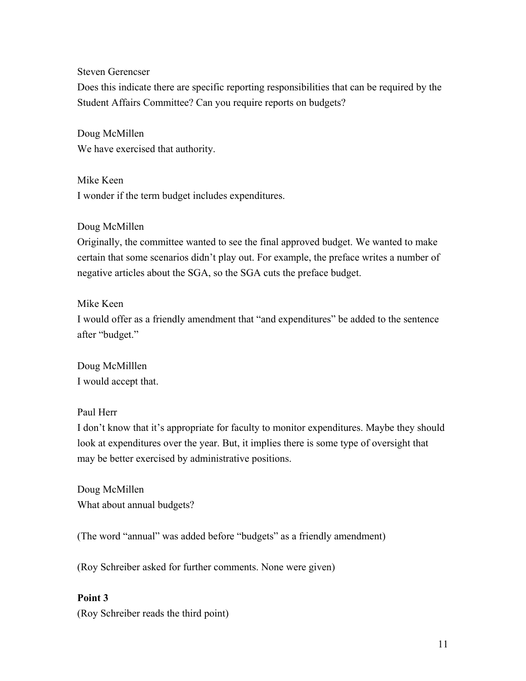Steven Gerencser

Does this indicate there are specific reporting responsibilities that can be required by the Student Affairs Committee? Can you require reports on budgets?

Doug McMillen We have exercised that authority.

Mike Keen I wonder if the term budget includes expenditures.

#### Doug McMillen

Originally, the committee wanted to see the final approved budget. We wanted to make certain that some scenarios didn't play out. For example, the preface writes a number of negative articles about the SGA, so the SGA cuts the preface budget.

#### Mike Keen

I would offer as a friendly amendment that "and expenditures" be added to the sentence after "budget."

Doug McMilllen I would accept that.

## Paul Herr

I don't know that it's appropriate for faculty to monitor expenditures. Maybe they should look at expenditures over the year. But, it implies there is some type of oversight that may be better exercised by administrative positions.

Doug McMillen What about annual budgets?

(The word "annual" was added before "budgets" as a friendly amendment)

(Roy Schreiber asked for further comments. None were given)

## **Point 3**

(Roy Schreiber reads the third point)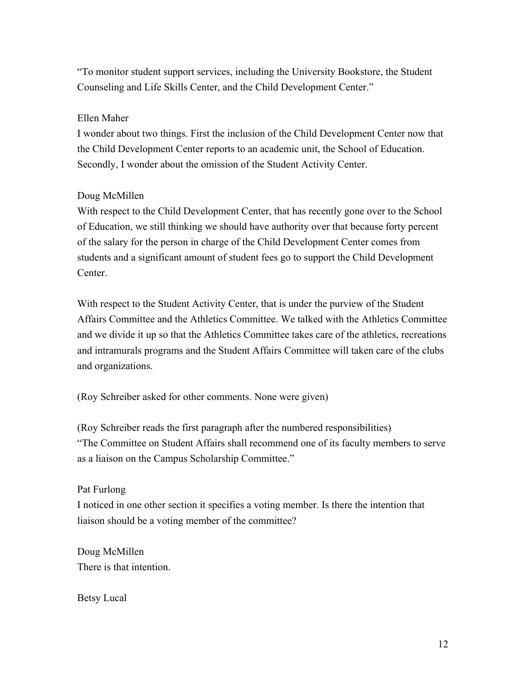"To monitor student support services, including the University Bookstore, the Student Counseling and Life Skills Center, and the Child Development Center."

#### Ellen Maher

I wonder about two things. First the inclusion of the Child Development Center now that the Child Development Center reports to an academic unit, the School of Education. Secondly, I wonder about the omission of the Student Activity Center.

#### Doug McMillen

With respect to the Child Development Center, that has recently gone over to the School of Education, we still thinking we should have authority over that because forty percent of the salary for the person in charge of the Child Development Center comes from students and a significant amount of student fees go to support the Child Development **Center** 

With respect to the Student Activity Center, that is under the purview of the Student Affairs Committee and the Athletics Committee. We talked with the Athletics Committee and we divide it up so that the Athletics Committee takes care of the athletics, recreations and intramurals programs and the Student Affairs Committee will taken care of the clubs and organizations.

(Roy Schreiber asked for other comments. None were given)

(Roy Schreiber reads the first paragraph after the numbered responsibilities) "The Committee on Student Affairs shall recommend one of its faculty members to serve as a liaison on the Campus Scholarship Committee."

#### Pat Furlong

I noticed in one other section it specifies a voting member. Is there the intention that liaison should be a voting member of the committee?

Doug McMillen There is that intention.

Betsy Lucal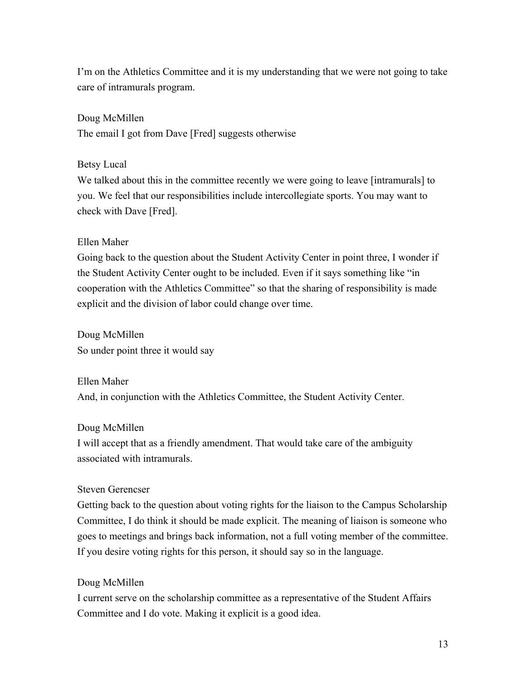I'm on the Athletics Committee and it is my understanding that we were not going to take care of intramurals program.

Doug McMillen The email I got from Dave [Fred] suggests otherwise

Betsy Lucal

We talked about this in the committee recently we were going to leave [intramurals] to you. We feel that our responsibilities include intercollegiate sports. You may want to check with Dave [Fred].

## Ellen Maher

Going back to the question about the Student Activity Center in point three, I wonder if the Student Activity Center ought to be included. Even if it says something like "in cooperation with the Athletics Committee" so that the sharing of responsibility is made explicit and the division of labor could change over time.

Doug McMillen So under point three it would say

Ellen Maher And, in conjunction with the Athletics Committee, the Student Activity Center.

# Doug McMillen

I will accept that as a friendly amendment. That would take care of the ambiguity associated with intramurals.

## Steven Gerencser

Getting back to the question about voting rights for the liaison to the Campus Scholarship Committee, I do think it should be made explicit. The meaning of liaison is someone who goes to meetings and brings back information, not a full voting member of the committee. If you desire voting rights for this person, it should say so in the language.

# Doug McMillen

I current serve on the scholarship committee as a representative of the Student Affairs Committee and I do vote. Making it explicit is a good idea.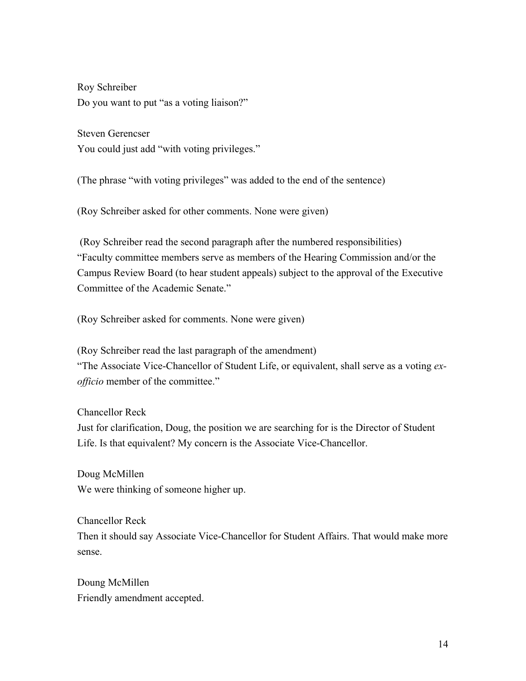Roy Schreiber Do you want to put "as a voting liaison?"

Steven Gerencser You could just add "with voting privileges."

(The phrase "with voting privileges" was added to the end of the sentence)

(Roy Schreiber asked for other comments. None were given)

(Roy Schreiber read the second paragraph after the numbered responsibilities) "Faculty committee members serve as members of the Hearing Commission and/or the Campus Review Board (to hear student appeals) subject to the approval of the Executive Committee of the Academic Senate."

(Roy Schreiber asked for comments. None were given)

(Roy Schreiber read the last paragraph of the amendment) "The Associate Vice-Chancellor of Student Life, or equivalent, shall serve as a voting *exofficio* member of the committee."

Chancellor Reck

Just for clarification, Doug, the position we are searching for is the Director of Student Life. Is that equivalent? My concern is the Associate Vice-Chancellor.

Doug McMillen We were thinking of someone higher up.

Chancellor Reck Then it should say Associate Vice-Chancellor for Student Affairs. That would make more sense.

Doung McMillen Friendly amendment accepted.